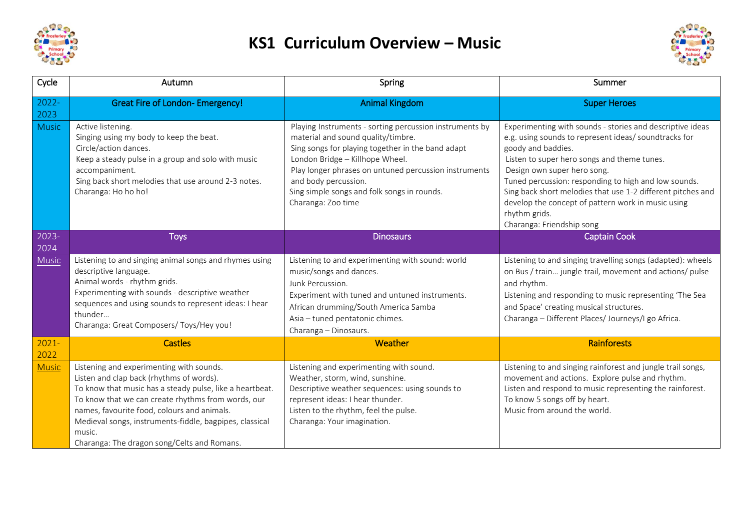

## **KS1 Curriculum Overview – Music**



| Cycle            | Autumn                                                                                                                                                                                                                                                                                                                                                                    | Spring                                                                                                                                                                                                                                                                                                                                      | Summer                                                                                                                                                                                                                                                                                                                                                                                                                                            |
|------------------|---------------------------------------------------------------------------------------------------------------------------------------------------------------------------------------------------------------------------------------------------------------------------------------------------------------------------------------------------------------------------|---------------------------------------------------------------------------------------------------------------------------------------------------------------------------------------------------------------------------------------------------------------------------------------------------------------------------------------------|---------------------------------------------------------------------------------------------------------------------------------------------------------------------------------------------------------------------------------------------------------------------------------------------------------------------------------------------------------------------------------------------------------------------------------------------------|
| $2022 -$<br>2023 | <b>Great Fire of London- Emergency!</b>                                                                                                                                                                                                                                                                                                                                   | <b>Animal Kingdom</b>                                                                                                                                                                                                                                                                                                                       | <b>Super Heroes</b>                                                                                                                                                                                                                                                                                                                                                                                                                               |
| <b>Music</b>     | Active listening.<br>Singing using my body to keep the beat.<br>Circle/action dances.<br>Keep a steady pulse in a group and solo with music<br>accompaniment.<br>Sing back short melodies that use around 2-3 notes.<br>Charanga: Ho ho ho!                                                                                                                               | Playing Instruments - sorting percussion instruments by<br>material and sound quality/timbre.<br>Sing songs for playing together in the band adapt<br>London Bridge - Killhope Wheel.<br>Play longer phrases on untuned percussion instruments<br>and body percussion.<br>Sing simple songs and folk songs in rounds.<br>Charanga: Zoo time | Experimenting with sounds - stories and descriptive ideas<br>e.g. using sounds to represent ideas/ soundtracks for<br>goody and baddies.<br>Listen to super hero songs and theme tunes.<br>Design own super hero song.<br>Tuned percussion: responding to high and low sounds.<br>Sing back short melodies that use 1-2 different pitches and<br>develop the concept of pattern work in music using<br>rhythm grids.<br>Charanga: Friendship song |
| $2023 -$<br>2024 | <b>Toys</b>                                                                                                                                                                                                                                                                                                                                                               | <b>Dinosaurs</b>                                                                                                                                                                                                                                                                                                                            | <b>Captain Cook</b>                                                                                                                                                                                                                                                                                                                                                                                                                               |
| <b>Music</b>     | Listening to and singing animal songs and rhymes using<br>descriptive language.<br>Animal words - rhythm grids.<br>Experimenting with sounds - descriptive weather<br>sequences and using sounds to represent ideas: I hear<br>thunder<br>Charanga: Great Composers/ Toys/Hey you!                                                                                        | Listening to and experimenting with sound: world<br>music/songs and dances.<br>Junk Percussion.<br>Experiment with tuned and untuned instruments.<br>African drumming/South America Samba<br>Asia - tuned pentatonic chimes.<br>Charanga - Dinosaurs.                                                                                       | Listening to and singing travelling songs (adapted): wheels<br>on Bus / train jungle trail, movement and actions/ pulse<br>and rhythm.<br>Listening and responding to music representing 'The Sea<br>and Space' creating musical structures.<br>Charanga - Different Places/ Journeys/I go Africa.                                                                                                                                                |
| $2021 -$<br>2022 | <b>Castles</b>                                                                                                                                                                                                                                                                                                                                                            | Weather                                                                                                                                                                                                                                                                                                                                     | <b>Rainforests</b>                                                                                                                                                                                                                                                                                                                                                                                                                                |
| <b>Music</b>     | Listening and experimenting with sounds.<br>Listen and clap back (rhythms of words).<br>To know that music has a steady pulse, like a heartbeat.<br>To know that we can create rhythms from words, our<br>names, favourite food, colours and animals.<br>Medieval songs, instruments-fiddle, bagpipes, classical<br>music.<br>Charanga: The dragon song/Celts and Romans. | Listening and experimenting with sound.<br>Weather, storm, wind, sunshine.<br>Descriptive weather sequences: using sounds to<br>represent ideas: I hear thunder.<br>Listen to the rhythm, feel the pulse.<br>Charanga: Your imagination.                                                                                                    | Listening to and singing rainforest and jungle trail songs,<br>movement and actions. Explore pulse and rhythm.<br>Listen and respond to music representing the rainforest.<br>To know 5 songs off by heart.<br>Music from around the world.                                                                                                                                                                                                       |